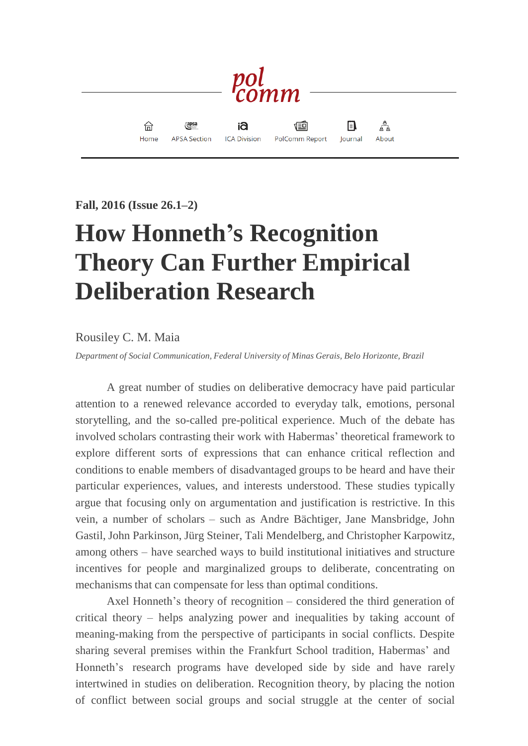

**Fall, 2016 (Issue 26.1–2)**

## **How Honneth's Recognition Theory Can Further Empirical Deliberation Research**

## Rousiley C. M. Maia

*Department of Social Communication, Federal University of Minas Gerais, Belo Horizonte, Brazil*

A great number of studies on deliberative democracy have paid particular attention to a renewed relevance accorded to everyday talk, emotions, personal storytelling, and the so-called pre-political experience. Much of the debate has involved scholars contrasting their work with Habermas' theoretical framework to explore different sorts of expressions that can enhance critical reflection and conditions to enable members of disadvantaged groups to be heard and have their particular experiences, values, and interests understood. These studies typically argue that focusing only on argumentation and justification is restrictive. In this vein, a number of scholars – such as Andre Bächtiger, Jane Mansbridge, John Gastil, John Parkinson, Jürg Steiner, Tali Mendelberg, and Christopher Karpowitz, among others – have searched ways to build institutional initiatives and structure incentives for people and marginalized groups to deliberate, concentrating on mechanisms that can compensate for less than optimal conditions.

Axel Honneth's theory of recognition – considered the third generation of critical theory – helps analyzing power and inequalities by taking account of meaning-making from the perspective of participants in social conflicts. Despite sharing several premises within the Frankfurt School tradition, Habermas' and Honneth's research programs have developed side by side and have rarely intertwined in studies on deliberation. Recognition theory, by placing the notion of conflict between social groups and social struggle at the center of social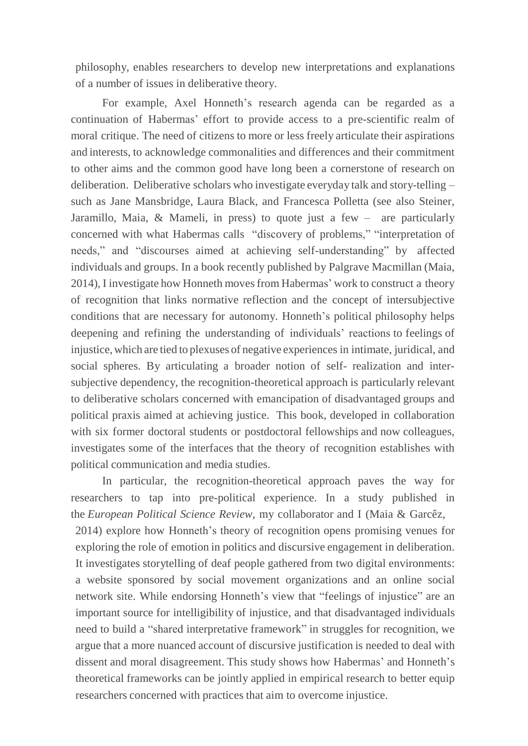philosophy, enables researchers to develop new interpretations and explanations of a number of issues in deliberative theory.

For example, Axel Honneth's research agenda can be regarded as a continuation of Habermas' effort to provide access to a pre-scientific realm of moral critique. The need of citizens to more or less freely articulate their aspirations and interests, to acknowledge commonalities and differences and their commitment to other aims and the common good have long been a cornerstone of research on deliberation. Deliberative scholars who investigate everyday talk and story-telling – such as Jane Mansbridge, Laura Black, and Francesca Polletta (see also Steiner, Jaramillo, Maia, & Mameli, in press) to quote just a few – are particularly concerned with what Habermas calls "discovery of problems," "interpretation of needs," and "discourses aimed at achieving self-understanding" by affected individuals and groups. In a book recently published by Palgrave Macmillan (Maia, 2014), I investigate how Honneth movesfrom Habermas' work to construct a theory of recognition that links normative reflection and the concept of intersubjective conditions that are necessary for autonomy. Honneth's political philosophy helps deepening and refining the understanding of individuals' reactions to feelings of injustice,which are tied to plexuses of negative experiences in intimate, juridical, and social spheres. By articulating a broader notion of self- realization and intersubjective dependency, the recognition-theoretical approach is particularly relevant to deliberative scholars concerned with emancipation of disadvantaged groups and political praxis aimed at achieving justice. This book, developed in collaboration with six former doctoral students or postdoctoral fellowships and now colleagues, investigates some of the interfaces that the theory of recognition establishes with political communication and media studies.

In particular, the recognition-theoretical approach paves the way for researchers to tap into pre-political experience. In a study published in the *European Political Science Review*, my collaborator and I (Maia & Garcêz, 2014) explore how Honneth's theory of recognition opens promising venues for exploring the role of emotion in politics and discursive engagement in deliberation. It investigates storytelling of deaf people gathered from two digital environments: a website sponsored by social movement organizations and an online social network site. While endorsing Honneth's view that "feelings of injustice" are an important source for intelligibility of injustice, and that disadvantaged individuals need to build a "shared interpretative framework" in struggles for recognition, we argue that a more nuanced account of discursive justification is needed to deal with dissent and moral disagreement. This study shows how Habermas' and Honneth's theoretical frameworks can be jointly applied in empirical research to better equip researchers concerned with practices that aim to overcome injustice.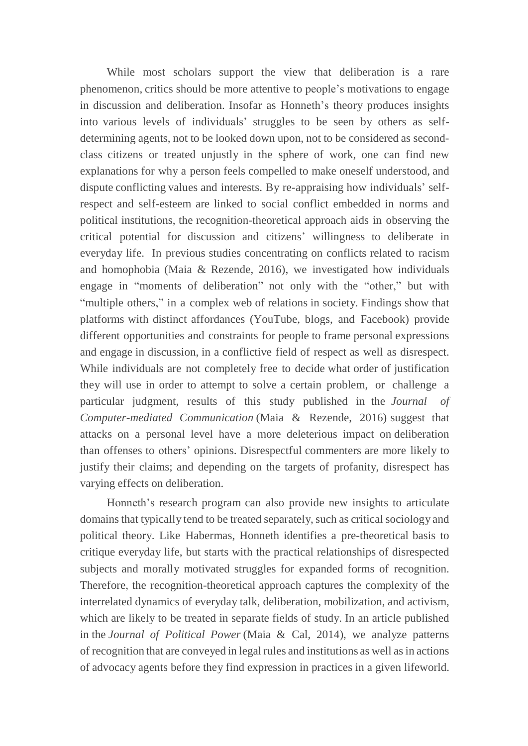While most scholars support the view that deliberation is a rare phenomenon, critics should be more attentive to people's motivations to engage in discussion and deliberation. Insofar as Honneth's theory produces insights into various levels of individuals' struggles to be seen by others as selfdetermining agents, not to be looked down upon, not to be considered as secondclass citizens or treated unjustly in the sphere of work, one can find new explanations for why a person feels compelled to make oneself understood, and dispute conflicting values and interests. By re-appraising how individuals' selfrespect and self-esteem are linked to social conflict embedded in norms and political institutions, the recognition-theoretical approach aids in observing the critical potential for discussion and citizens' willingness to deliberate in everyday life. In previous studies concentrating on conflicts related to racism and homophobia (Maia & Rezende, 2016), we investigated how individuals engage in "moments of deliberation" not only with the "other," but with "multiple others," in a complex web of relations in society. Findings show that platforms with distinct affordances (YouTube, blogs, and Facebook) provide different opportunities and constraints for people to frame personal expressions and engage in discussion, in a conflictive field of respect as well as disrespect. While individuals are not completely free to decide what order of justification they will use in order to attempt to solve a certain problem, or challenge a particular judgment, results of this study published in the *Journal of Computer-mediated Communication* (Maia & Rezende, 2016) suggest that attacks on a personal level have a more deleterious impact on deliberation than offenses to others' opinions. Disrespectful commenters are more likely to justify their claims; and depending on the targets of profanity, disrespect has varying effects on deliberation.

Honneth's research program can also provide new insights to articulate domains that typically tend to be treated separately, such as critical sociology and political theory. Like Habermas, Honneth identifies a pre-theoretical basis to critique everyday life, but starts with the practical relationships of disrespected subjects and morally motivated struggles for expanded forms of recognition. Therefore, the recognition-theoretical approach captures the complexity of the interrelated dynamics of everyday talk, deliberation, mobilization, and activism, which are likely to be treated in separate fields of study. In an article published in the *Journal of Political Power* (Maia & Cal, 2014), we analyze patterns of recognition that are conveyed in legal rules and institutions as well asin actions of advocacy agents before they find expression in practices in a given lifeworld.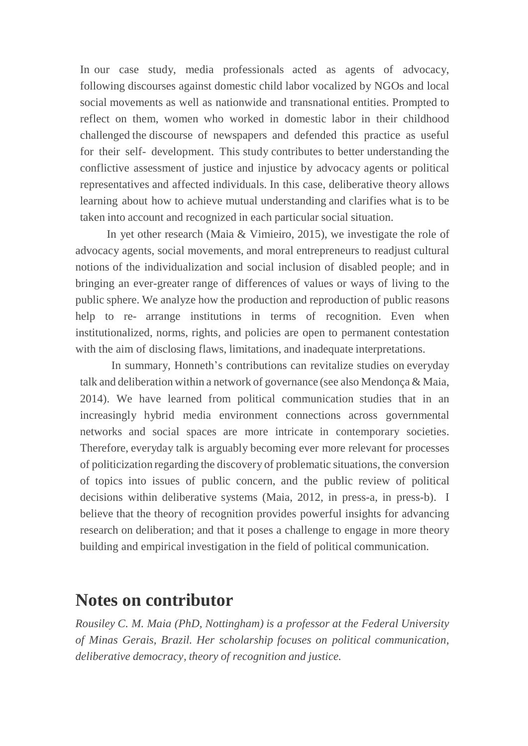In our case study, media professionals acted as agents of advocacy, following discourses against domestic child labor vocalized by NGOs and local social movements as well as nationwide and transnational entities. Prompted to reflect on them, women who worked in domestic labor in their childhood challenged the discourse of newspapers and defended this practice as useful for their self- development. This study contributes to better understanding the conflictive assessment of justice and injustice by advocacy agents or political representatives and affected individuals. In this case, deliberative theory allows learning about how to achieve mutual understanding and clarifies what is to be taken into account and recognized in each particular social situation.

In yet other research (Maia & Vimieiro, 2015), we investigate the role of advocacy agents, social movements, and moral entrepreneurs to readjust cultural notions of the individualization and social inclusion of disabled people; and in bringing an ever-greater range of differences of values or ways of living to the public sphere. We analyze how the production and reproduction of public reasons help to re- arrange institutions in terms of recognition. Even when institutionalized, norms, rights, and policies are open to permanent contestation with the aim of disclosing flaws, limitations, and inadequate interpretations.

In summary, Honneth's contributions can revitalize studies on everyday talk and deliberation within a network of governance (see also Mendonça & Maia, 2014). We have learned from political communication studies that in an increasingly hybrid media environment connections across governmental networks and social spaces are more intricate in contemporary societies. Therefore, everyday talk is arguably becoming ever more relevant for processes of politicization regarding the discovery of problematic situations, the conversion of topics into issues of public concern, and the public review of political decisions within deliberative systems (Maia, 2012, in press-a, in press-b). I believe that the theory of recognition provides powerful insights for advancing research on deliberation; and that it poses a challenge to engage in more theory building and empirical investigation in the field of political communication.

## **Notes on contributor**

*Rousiley C. M. Maia (PhD, Nottingham) is a professor at the Federal University of Minas Gerais, Brazil. Her scholarship focuses on political communication, deliberative democracy, theory of recognition and justice.*